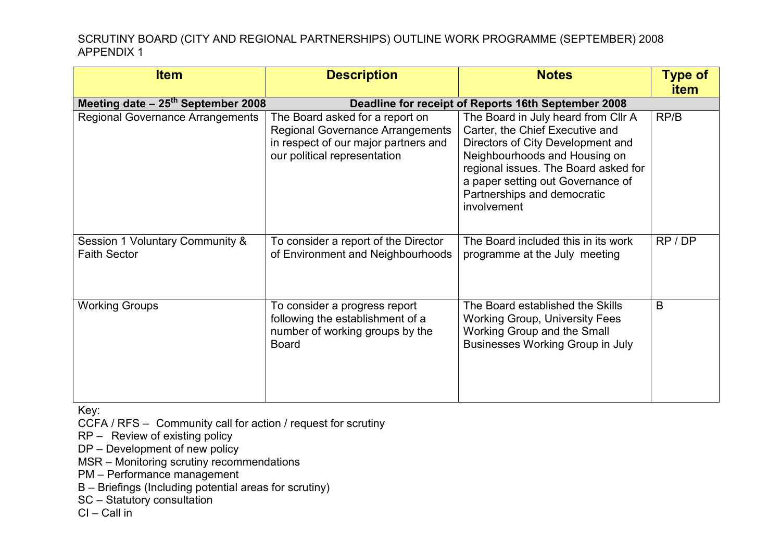| <b>Item</b>                                            | <b>Description</b>                                                                                                                                 | <b>Notes</b>                                                                                                                                                                                                                                                            | <b>Type of</b><br><b>item</b> |
|--------------------------------------------------------|----------------------------------------------------------------------------------------------------------------------------------------------------|-------------------------------------------------------------------------------------------------------------------------------------------------------------------------------------------------------------------------------------------------------------------------|-------------------------------|
| Meeting date $-25th$ September 2008                    | Deadline for receipt of Reports 16th September 2008                                                                                                |                                                                                                                                                                                                                                                                         |                               |
| <b>Regional Governance Arrangements</b>                | The Board asked for a report on<br><b>Regional Governance Arrangements</b><br>in respect of our major partners and<br>our political representation | The Board in July heard from Cllr A<br>Carter, the Chief Executive and<br>Directors of City Development and<br>Neighbourhoods and Housing on<br>regional issues. The Board asked for<br>a paper setting out Governance of<br>Partnerships and democratic<br>involvement | RP/B                          |
| Session 1 Voluntary Community &<br><b>Faith Sector</b> | To consider a report of the Director<br>of Environment and Neighbourhoods                                                                          | The Board included this in its work<br>programme at the July meeting                                                                                                                                                                                                    | RP / DP                       |
| <b>Working Groups</b>                                  | To consider a progress report<br>following the establishment of a<br>number of working groups by the<br><b>Board</b>                               | The Board established the Skills<br><b>Working Group, University Fees</b><br>Working Group and the Small<br><b>Businesses Working Group in July</b>                                                                                                                     | B                             |

Key:

CCFA / RFS – Community call for action / request for scrutiny

RP – Review of existing policy

DP – Development of new policy

MSR – Monitoring scrutiny recommendations

PM – Performance management

B – Briefings (Including potential areas for scrutiny)

SC – Statutory consultation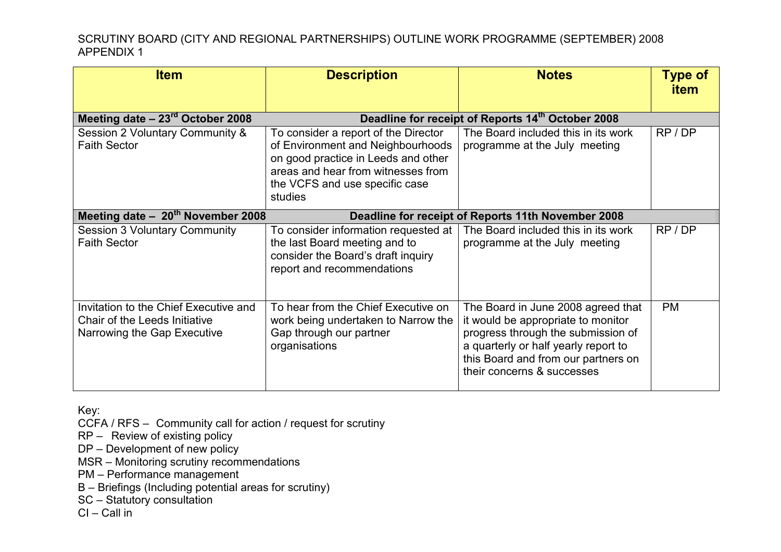| <b>Item</b>                                                                                           | <b>Description</b>                                                                                                                                                                                  | <b>Notes</b>                                                                                                                                                                                                                | <b>Type of</b><br><b>item</b> |  |
|-------------------------------------------------------------------------------------------------------|-----------------------------------------------------------------------------------------------------------------------------------------------------------------------------------------------------|-----------------------------------------------------------------------------------------------------------------------------------------------------------------------------------------------------------------------------|-------------------------------|--|
| Meeting date $-23^{\text{rd}}$ October 2008                                                           | Deadline for receipt of Reports 14th October 2008                                                                                                                                                   |                                                                                                                                                                                                                             |                               |  |
| Session 2 Voluntary Community &<br><b>Faith Sector</b>                                                | To consider a report of the Director<br>of Environment and Neighbourhoods<br>on good practice in Leeds and other<br>areas and hear from witnesses from<br>the VCFS and use specific case<br>studies | The Board included this in its work<br>programme at the July meeting                                                                                                                                                        | RP/DP                         |  |
| Meeting date $-20th$ November 2008<br>Deadline for receipt of Reports 11th November 2008              |                                                                                                                                                                                                     |                                                                                                                                                                                                                             |                               |  |
| <b>Session 3 Voluntary Community</b><br><b>Faith Sector</b>                                           | To consider information requested at<br>the last Board meeting and to<br>consider the Board's draft inquiry<br>report and recommendations                                                           | The Board included this in its work<br>programme at the July meeting                                                                                                                                                        | RP/DP                         |  |
| Invitation to the Chief Executive and<br>Chair of the Leeds Initiative<br>Narrowing the Gap Executive | To hear from the Chief Executive on<br>work being undertaken to Narrow the<br>Gap through our partner<br>organisations                                                                              | The Board in June 2008 agreed that<br>it would be appropriate to monitor<br>progress through the submission of<br>a quarterly or half yearly report to<br>this Board and from our partners on<br>their concerns & successes | <b>PM</b>                     |  |

Key:

CCFA / RFS – Community call for action / request for scrutiny

RP – Review of existing policy

DP – Development of new policy

MSR – Monitoring scrutiny recommendations

PM – Performance management

B – Briefings (Including potential areas for scrutiny)

SC – Statutory consultation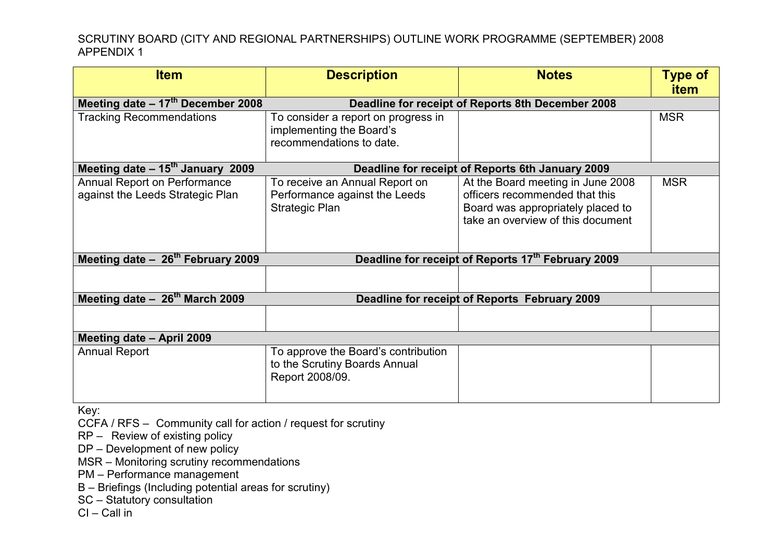| <b>Item</b>                                                                                         | <b>Description</b>                                | <b>Notes</b>                                     | <b>Type of</b> |
|-----------------------------------------------------------------------------------------------------|---------------------------------------------------|--------------------------------------------------|----------------|
|                                                                                                     |                                                   |                                                  | <b>item</b>    |
| Meeting date $-17th$ December 2008                                                                  | Deadline for receipt of Reports 8th December 2008 |                                                  |                |
| <b>Tracking Recommendations</b>                                                                     | To consider a report on progress in               |                                                  | <b>MSR</b>     |
|                                                                                                     | implementing the Board's                          |                                                  |                |
|                                                                                                     | recommendations to date.                          |                                                  |                |
|                                                                                                     |                                                   |                                                  |                |
| Meeting date - 15 <sup>th</sup> January 2009                                                        |                                                   | Deadline for receipt of Reports 6th January 2009 |                |
| Annual Report on Performance                                                                        | To receive an Annual Report on                    | At the Board meeting in June 2008                | <b>MSR</b>     |
| against the Leeds Strategic Plan                                                                    | Performance against the Leeds                     | officers recommended that this                   |                |
|                                                                                                     | <b>Strategic Plan</b>                             | Board was appropriately placed to                |                |
|                                                                                                     |                                                   | take an overview of this document                |                |
|                                                                                                     |                                                   |                                                  |                |
| Meeting date - 26 <sup>th</sup> February 2009<br>Deadline for receipt of Reports 17th February 2009 |                                                   |                                                  |                |
|                                                                                                     |                                                   |                                                  |                |
|                                                                                                     |                                                   |                                                  |                |
| Meeting date $-26^{th}$ March 2009                                                                  | Deadline for receipt of Reports February 2009     |                                                  |                |
|                                                                                                     |                                                   |                                                  |                |
|                                                                                                     |                                                   |                                                  |                |
| Meeting date - April 2009                                                                           |                                                   |                                                  |                |
| <b>Annual Report</b>                                                                                | To approve the Board's contribution               |                                                  |                |
|                                                                                                     | to the Scrutiny Boards Annual                     |                                                  |                |
|                                                                                                     | Report 2008/09.                                   |                                                  |                |
|                                                                                                     |                                                   |                                                  |                |

Key:

CCFA / RFS – Community call for action / request for scrutiny

RP – Review of existing policy

DP – Development of new policy

MSR – Monitoring scrutiny recommendations

PM – Performance management

B – Briefings (Including potential areas for scrutiny)

SC – Statutory consultation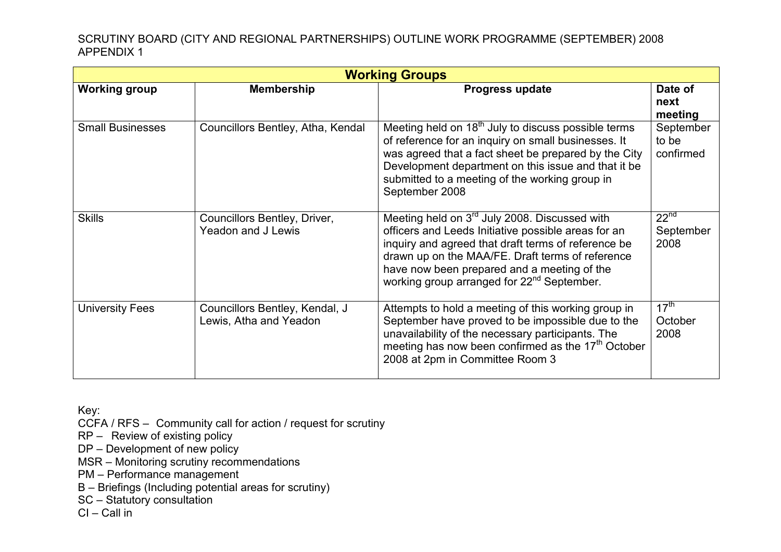| <b>Working Groups</b>   |                                                          |                                                                                                                                                                                                                                                                                                                                      |                                       |  |  |
|-------------------------|----------------------------------------------------------|--------------------------------------------------------------------------------------------------------------------------------------------------------------------------------------------------------------------------------------------------------------------------------------------------------------------------------------|---------------------------------------|--|--|
| <b>Working group</b>    | <b>Membership</b>                                        | <b>Progress update</b>                                                                                                                                                                                                                                                                                                               | Date of<br>next<br>meeting            |  |  |
| <b>Small Businesses</b> | Councillors Bentley, Atha, Kendal                        | Meeting held on 18 <sup>th</sup> July to discuss possible terms<br>of reference for an inquiry on small businesses. It<br>was agreed that a fact sheet be prepared by the City<br>Development department on this issue and that it be<br>submitted to a meeting of the working group in<br>September 2008                            | September<br>to be<br>confirmed       |  |  |
| <b>Skills</b>           | Councillors Bentley, Driver,<br>Yeadon and J Lewis       | Meeting held on 3 <sup>rd</sup> July 2008. Discussed with<br>officers and Leeds Initiative possible areas for an<br>inquiry and agreed that draft terms of reference be<br>drawn up on the MAA/FE. Draft terms of reference<br>have now been prepared and a meeting of the<br>working group arranged for 22 <sup>nd</sup> September. | 22 <sup>nd</sup><br>September<br>2008 |  |  |
| <b>University Fees</b>  | Councillors Bentley, Kendal, J<br>Lewis, Atha and Yeadon | Attempts to hold a meeting of this working group in<br>September have proved to be impossible due to the<br>unavailability of the necessary participants. The<br>meeting has now been confirmed as the 17 <sup>th</sup> October<br>2008 at 2pm in Committee Room 3                                                                   | $17^{\text{th}}$<br>October<br>2008   |  |  |

Key:

CCFA / RFS – Community call for action / request for scrutiny

RP – Review of existing policy

DP – Development of new policy

MSR – Monitoring scrutiny recommendations

PM – Performance management

B – Briefings (Including potential areas for scrutiny)

SC – Statutory consultation